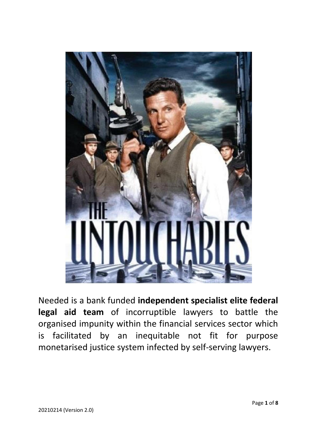

Needed is a bank funded **independent specialist elite federal legal aid team** of incorruptible lawyers to battle the organised impunity within the financial services sector which is facilitated by an inequitable not fit for purpose monetarised justice system infected by self-serving lawyers.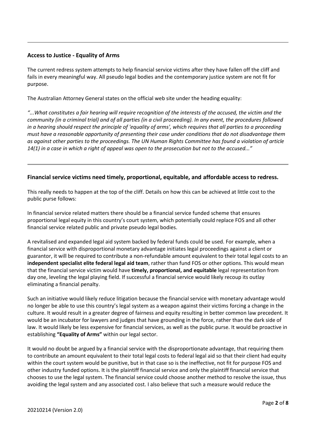### **Access to Justice - Equality of Arms**

The current redress system attempts to help financial service victims after they have fallen off the cliff and fails in every meaningful way. All pseudo legal bodies and the contemporary justice system are not fit for purpose.

The Australian Attorney General states on the official web site under the heading equality:

*"...What constitutes a fair hearing will require recognition of the interests of the accused, the victim and the community (in a criminal trial) and of all parties (in a civil proceeding). In any event, the procedures followed in a hearing should respect the principle of 'equality of arms', which requires that all parties to a proceeding must have a reasonable opportunity of presenting their case under conditions that do not disadvantage them as against other parties to the proceedings. The UN Human Rights Committee has found a violation of article 14(1) in a case in which a right of appeal was open to the prosecution but not to the accused..."*

### **Financial service victims need timely, proportional, equitable, and affordable access to redress.**

This really needs to happen at the top of the cliff. Details on how this can be achieved at little cost to the public purse follows:

In financial service related matters there should be a financial service funded scheme that ensures proportional legal equity in this country's court system, which potentially could replace FOS and all other financial service related public and private pseudo legal bodies.

A revitalised and expanded legal aid system backed by federal funds could be used. For example, when a financial service with disproportional monetary advantage initiates legal proceedings against a client or guarantor, it will be required to contribute a non-refundable amount equivalent to their total legal costs to an **independent specialist elite federal legal aid team**, rather than fund FOS or other options. This would mean that the financial service victim would have **timely, proportional, and equitable** legal representation from day one, leveling the legal playing field. If successful a financial service would likely recoup its outlay eliminating a financial penalty.

Such an initiative would likely reduce litigation because the financial service with monetary advantage would no longer be able to use this country's legal system as a weapon against their victims forcing a change in the culture. It would result in a greater degree of fairness and equity resulting in better common law precedent. It would be an incubator for lawyers and judges that have grounding in the force, rather than the dark side of law. It would likely be less expensive for financial services, as well as the public purse. It would be proactive in establishing **"Equality of Arms"** within our legal sector.

It would no doubt be argued by a financial service with the disproportionate advantage, that requiring them to contribute an amount equivalent to their total legal costs to federal legal aid so that their client had equity within the court system would be punitive, but in that case so is the ineffective, not fit for purpose FOS and other industry funded options. It is the plaintiff financial service and only the plaintiff financial service that chooses to use the legal system. The financial service could choose another method to resolve the issue, thus avoiding the legal system and any associated cost. I also believe that such a measure would reduce the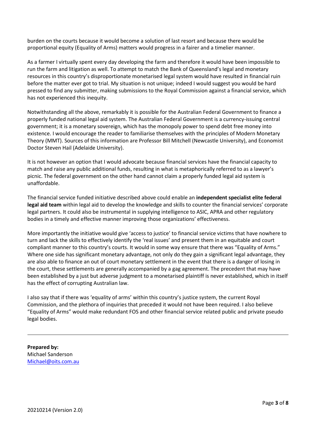burden on the courts because it would become a solution of last resort and because there would be proportional equity (Equality of Arms) matters would progress in a fairer and a timelier manner.

As a farmer I virtually spent every day developing the farm and therefore it would have been impossible to run the farm and litigation as well. To attempt to match the Bank of Queensland's legal and monetary resources in this country's disproportionate monetarised legal system would have resulted in financial ruin before the matter ever got to trial. My situation is not unique; indeed I would suggest you would be hard pressed to find any submitter, making submissions to the Royal Commission against a financial service, which has not experienced this inequity.

Notwithstanding all the above, remarkably it is possible for the Australian Federal Government to finance a properly funded national legal aid system. The Australian Federal Government is a currency-issuing central government; it is a monetary sovereign, which has the monopoly power to spend debt free money into existence. I would encourage the reader to familiarise themselves with the principles of Modern Monetary Theory (MMT). Sources of this information are Professor Bill Mitchell (Newcastle University), and Economist Doctor Steven Hail (Adelaide University).

It is not however an option that I would advocate because financial services have the financial capacity to match and raise any public additional funds, resulting in what is metaphorically referred to as a lawyer's picnic. The federal government on the other hand cannot claim a properly funded legal aid system is unaffordable.

The financial service funded initiative described above could enable an **independent specialist elite federal legal aid team** within legal aid to develop the knowledge and skills to counter the financial services' corporate legal partners. It could also be instrumental in supplying intelligence to ASIC, APRA and other regulatory bodies in a timely and effective manner improving those organizations' effectiveness.

More importantly the initiative would give 'access to justice' to financial service victims that have nowhere to turn and lack the skills to effectively identify the 'real issues' and present them in an equitable and court compliant manner to this country's courts. It would in some way ensure that there was "Equality of Arms." Where one side has significant monetary advantage, not only do they gain a significant legal advantage, they are also able to finance an out of court monetary settlement in the event that there is a danger of losing in the court, these settlements are generally accompanied by a gag agreement. The precedent that may have been established by a just but adverse judgment to a monetarised plaintiff is never established, which in itself has the effect of corrupting Australian law.

I also say that if there was 'equality of arms' within this country's justice system, the current Royal Commission, and the plethora of inquiries that preceded it would not have been required. I also believe "Equality of Arms" would make redundant FOS and other financial service related public and private pseudo legal bodies.

**Prepared by:** Michael Sanderson [Michael@oits.com.au](mailto:Michael@oits.com.au)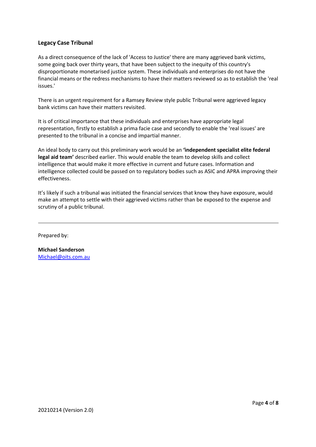### **Legacy Case Tribunal**

As a direct consequence of the lack of 'Access to Justice' there are many aggrieved bank victims, some going back over thirty years, that have been subject to the inequity of this country's disproportionate monetarised justice system. These individuals and enterprises do not have the financial means or the redress mechanisms to have their matters reviewed so as to establish the 'real issues.'

There is an urgent requirement for a Ramsey Review style public Tribunal were aggrieved legacy bank victims can have their matters revisited.

It is of critical importance that these individuals and enterprises have appropriate legal representation, firstly to establish a prima facie case and secondly to enable the 'real issues' are presented to the tribunal in a concise and impartial manner.

An ideal body to carry out this preliminary work would be an **'independent specialist elite federal legal aid team'** described earlier. This would enable the team to develop skills and collect intelligence that would make it more effective in current and future cases. Information and intelligence collected could be passed on to regulatory bodies such as ASIC and APRA improving their effectiveness.

It's likely if such a tribunal was initiated the financial services that know they have exposure, would make an attempt to settle with their aggrieved victims rather than be exposed to the expense and scrutiny of a public tribunal.

Prepared by:

**Michael Sanderson** [Michael@oits.com.au](mailto:Michael@oits.com.au)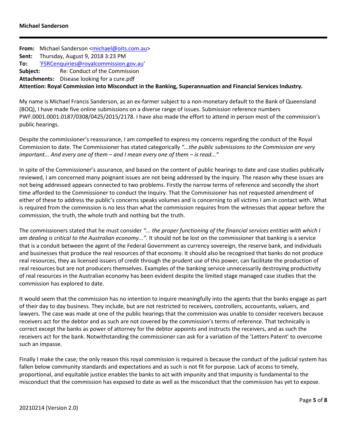|                                                                                                             | From: Michael Sanderson <michael@oits.com.au></michael@oits.com.au> |                                               |
|-------------------------------------------------------------------------------------------------------------|---------------------------------------------------------------------|-----------------------------------------------|
|                                                                                                             | <b>Sent:</b> Thursday, August 9, 2018 3:23 PM                       |                                               |
|                                                                                                             | To: 'FSRCenquiries@royalcommission.gov.au'                          |                                               |
|                                                                                                             |                                                                     | <b>Subject:</b> Re: Conduct of the Commission |
|                                                                                                             |                                                                     | Attachments: Disease looking for a cure.pdf   |
| Attention: Royal Commission into Misconduct in the Banking, Superannuation and Financial Services Industry. |                                                                     |                                               |

My name is Michael Francis Sanderson, as an ex-farmer subject to a non-monetary default to the Bank of Queensland (BOQ), I have made five online submissions on a diverse range of issues. Submission reference numbers PWF.0001.0001.0187/0308/0425/2015/2178. I have also made the effort to attend in person most of the commission's public hearings.

Despite the commissioner's reassurance, I am compelled to express my concerns regarding the conduct of the Royal Commission to date. The Commissioner has stated categorically *"...the public submissions to the Commission are very important... And every one of them – and I mean every one of them – is read..."*

In spite of the Commissioner's assurance, and based on the content of public hearings to date and case studies publically reviewed, I am concerned many poignant issues are not being addressed by the inquiry. The reason why these issues are not being addressed appears connected to two problems. Firstly the narrow terms of reference and secondly the short time afforded to the Commissioner to conduct the Inquiry. That the Commissioner has not requested amendment of either of these to address the public's concerns speaks volumes and is concerning to all victims I am in contact with. What is required from the commission is no less than what the commission requires from the witnesses that appear before the commission, the truth, the whole truth and nothing but the truth.

The commissioners stated that he must consider *"... the proper functioning of the financial services entities with which I am dealing is critical to the Australian economy...".* It should not be lost on the commissioner that banking is a service that is a conduit between the agent of the Federal Government as currency sovereign, the reserve bank, and individuals and businesses that produce the real resources of that economy. It should also be recognised that banks do not produce real resources, they as licensed issuers of credit through the prudent use of this power, can facilitate the production of real resources but are not producers themselves. Examples of the banking service unnecessarily destroying productivity of real resources in the Australian economy has been evident despite the limited stage managed case studies that the commission has explored to date.

It would seem that the commission has no intention to inquire meaningfully into the agents that the banks engage as part of their day to day business. They include, but are not restricted to receivers, controllers, accountants, valuers, and lawyers. The case was made at one of the public hearings that the commission was unable to consider receivers because receivers act for the debtor and as such are not covered by the commission's terms of reference. That technically is correct except the banks as power of attorney for the debtor appoints and instructs the receivers, and as such the receivers act for the bank. Notwithstanding the commissioner can ask for a variation of the 'Letters Patent' to overcome such an impasse.

Finally I make the case; the only reason this royal commission is required is because the conduct of the judicial system has fallen below community standards and expectations and as such is not fit for purpose. Lack of access to timely, proportional, and equitable justice enables the banks to act with impunity and that impunity is fundamental to the misconduct that the commission has exposed to date as well as the misconduct that the commission has yet to expose.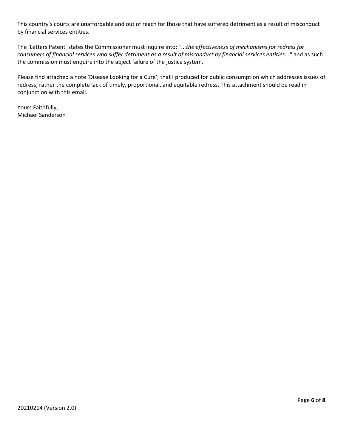This country's courts are unaffordable and out of reach for those that have suffered detriment as a result of misconduct by financial services entities.

The 'Letters Patent' states the Commissioner must inquire into: *"...the effectiveness of mechanisms for redress for consumers of financial services who suffer detriment as a result of misconduct by financial services entities..."* and as such the commission must enquire into the abject failure of the justice system.

Please find attached a note 'Disease Looking for a Cure', that I produced for public consumption which addresses issues of redress, rather the complete lack of timely, proportional, and equitable redress. This attachment should be read in conjunction with this email.

Yours Faithfully, Michael Sanderson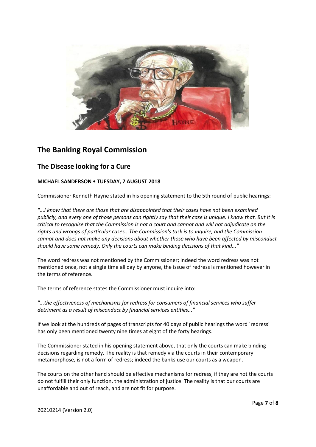

# **The Banking Royal Commission**

## **The Disease looking for a Cure**

### **MICHAEL SANDERSON • TUESDAY, 7 AUGUST 2018**

Commissioner Kenneth Hayne stated in his opening statement to the 5th round of public hearings:

*"...I know that there are those that are disappointed that their cases have not been examined publicly, and every one of those persons can rightly say that their case is unique. I know that. But it is critical to recognise that the Commission is not a court and cannot and will not adjudicate on the rights and wrongs of particular cases...The Commission's task is to inquire, and the Commission cannot and does not make any decisions about whether those who have been affected by misconduct should have some remedy. Only the courts can make binding decisions of that kind..."*

The word redress was not mentioned by the Commissioner; indeed the word redress was not mentioned once, not a single time all day by anyone, the issue of redress is mentioned however in the terms of reference.

The terms of reference states the Commissioner must inquire into:

*"...the effectiveness of mechanisms for redress for consumers of financial services who suffer detriment as a result of misconduct by financial services entities..."*

If we look at the hundreds of pages of transcripts for 40 days of public hearings the word `redress' has only been mentioned twenty nine times at eight of the forty hearings.

The Commissioner stated in his opening statement above, that only the courts can make binding decisions regarding remedy. The reality is that remedy via the courts in their contemporary metamorphose, is not a form of redress; indeed the banks use our courts as a weapon.

The courts on the other hand should be effective mechanisms for redress, if they are not the courts do not fulfill their only function, the administration of justice. The reality is that our courts are unaffordable and out of reach, and are not fit for purpose.